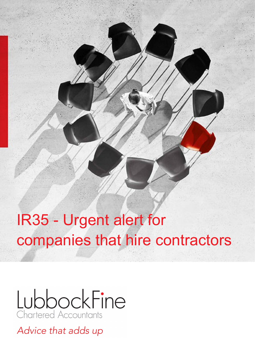# IR35 - Urgent alert for companies that hire contractors



Advice that adds up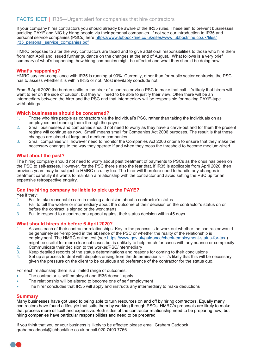#### FACTSHEET | IR35—Urgent alert for companies that hire contractors

If your company hires contractors you should already be aware of the IR35 rules. These aim to prevent businesses avoiding PAYE and NIC by hiring people via their personal companies. If not see our introduction to IR35 and personal service companies (PSCs) here [https://www.lubbockfine.co.uk/sites/www.lubbockfine.co.uk/files/](https://www.lubbockfine.co.uk/sites/www.lubbockfine.co.uk/files/ir35_personal_service_companies.pdf) [ir35\\_personal\\_service\\_companies.pdf](https://www.lubbockfine.co.uk/sites/www.lubbockfine.co.uk/files/ir35_personal_service_companies.pdf)

HMRC proposes to alter the way contractors are taxed and to give additional responsibilities to those who hire them from next April and issued further guidance on the changes at the end of August. What follows is a very brief summary of what's happening, how hiring companies might be affected and what they should be doing now.

#### **What's happening?**

HMRC say non-compliance with IR35 is running at 90%. Currently, other than for public sector contracts, the PSC has to assess whether it is within IR35 or not. Most inevitably conclude not.

From 6 April 2020 the burden shifts to the hirer of a contractor via a PSC to make that call. It's likely that hirers will want to err on the side of caution, but they will need to be able to justify their view. Often there will be an intermediary between the hirer and the PSC and that intermediary will be responsible for making PAYE-type withholdings.

#### **Which businesses should be concerned?**

- 1. Those who hire people as contractors via the individual's PSC, rather than taking the individuals on as employees and running them through the payroll.
- 2. Small businesses and companies should not need to worry as they have a carve-out and for them the present regime will continue as now. 'Small' means small for Companies Act 2006 purposes. The result is that these changes are aimed at large and medium companies.
- 3. Small companies will, however need to monitor the Companies Act 2006 criteria to ensure that they make the necessary changes to the way they operate if and when they cross the threshold to become medium-sized.

#### **What about the past?**

The hiring company should not need to worry about past treatment of payments to PSCs as the onus has been on the PSC to self-assess. However, for the PSC there's also the fear that, if IR35 is applicable from April 2020, then previous years may be subject to HMRC scrutiny too. The hirer will therefore need to handle any changes in treatment carefully if it wants to maintain a relationship with the contractor and avoid setting the PSC up for an expensive retrospective enquiry.

#### **Can the hiring company be liable to pick up the PAYE?**

Yes if they:

- 1. Fail to take reasonable care in making a decision about a contractor's status
- 2. Fail to tell the worker or intermediary about the outcome of their decision on the contractor's status on or before the contract is signed or the work starts
- 3. Fail to respond to a contractor's appeal against their status decision within 45 days

#### **What should hirers do before 6 April 2020?**

- 1. Assess each of their contractor relationships. Key to the process is to work out whether the contractor would be genuinely self-employed in the absence of the PSC or whether the reality of the relationship is employment. The HMRC online test (see [https://www.gov.uk/guidance/check](https://www.gov.uk/guidance/check-employment-status-for-tax)-employment-status-for-tax ) might be useful for more clear cut cases but is unlikely to help much for cases with any nuance or complexity.
- 2. Communicate their decision to the worker/PSC/intermediary
- 3. Keep detailed records of the status determinations and reasons for coming to their conclusions
- 4. Set up a process to deal with disputes arising from the determinations it's likely that this will be necessary given the pressure on the client to be cautious and preference of the contractor for the status quo.

For each relationship there is a limited range of outcomes.

- The contractor is self employed and IR35 doesn't apply
- The relationship will be altered to become one of self employment
- The hirer concludes that IR35 will apply and instructs any intermediary to make deductions

#### **Summary**

Many businesses have got used to being able to turn resources on and off by hiring contractors. Equally many contractors have found a lifestyle that suits them by working through PSCs. HMRC's proposals are likely to make that process more difficult and expensive. Both sides of the contractor relationship need to be preparing now, but hiring companies have particular responsibilities and need to be prepared

If you think that you or your business is likely to be affected please email Graham Caddock grahamcaddock@lubbockfine.co.uk or call 020 7490 7766.